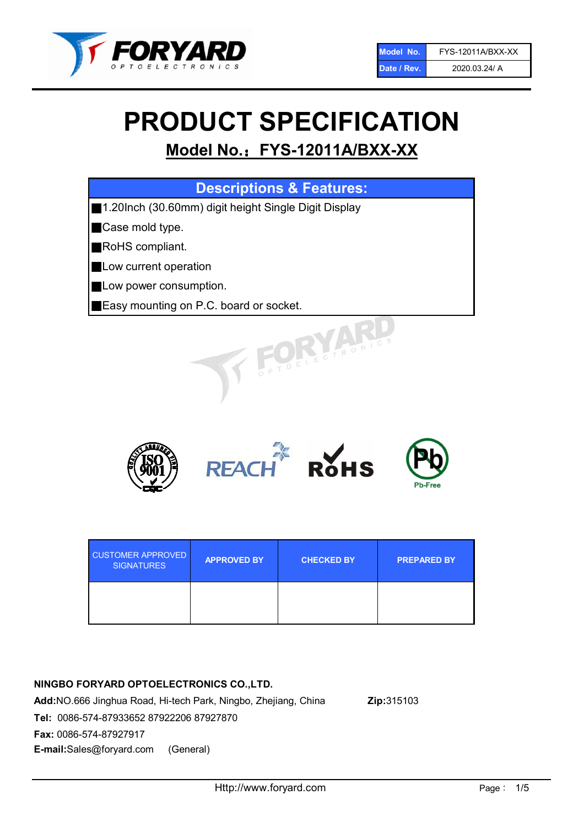

# PRODUCT SPECIFICATION

# Model No.: FYS-12011A/BXX-XX

| <b>Descriptions &amp; Features:</b>                  |
|------------------------------------------------------|
| 1.20lnch (30.60mm) digit height Single Digit Display |
| Case mold type.                                      |
| RoHS compliant.                                      |
| Low current operation                                |
| Low power consumption.                               |
| Easy mounting on P.C. board or socket.               |
| TOELECTRONIC.                                        |



| <b>CUSTOMER APPROVED</b><br><b>SIGNATURES</b> | <b>APPROVED BY</b> | <b>CHECKED BY</b> | <b>PREPARED BY</b> |
|-----------------------------------------------|--------------------|-------------------|--------------------|
|                                               |                    |                   |                    |

# NINGBO FORYARD OPTOELECTRONICS CO.,LTD.

Add:NO.666 Jinghua Road, Hi-tech Park, Ningbo, Zhejiang, China Zip:315103 Tel: 0086-574-87933652 87922206 87927870 Fax: 0086-574-87927917 E-mail:Sales@foryard.com (General)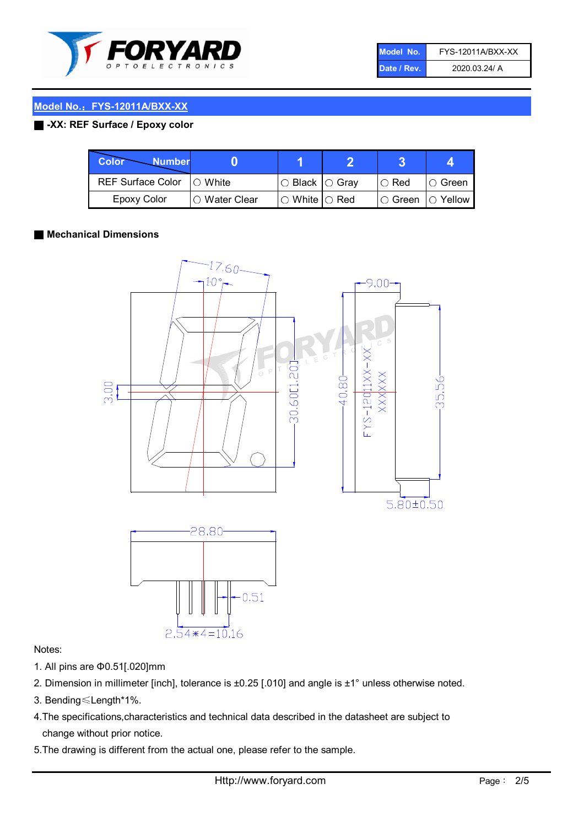

| Model No.   | <b>FYS-12011A/BXX-XX</b> |
|-------------|--------------------------|
| Date / Rev. | 2020.03.24/ A            |

# Model No.: FYS-12011A/BXX-XX

### ■ -XX: REF Surface / Epoxy color

| Color<br><b>Number</b>     |                 |                           |             |                |
|----------------------------|-----------------|---------------------------|-------------|----------------|
| REF Surface Color  ○ White |                 | ○ Black  ○ Gray           | $\circ$ Red | IO Green       |
| Epoxy Color                | l ⊜ Water Clear | $\circ$ White $\circ$ Red | I⊖ Green    | $\circ$ Yellow |

#### ■ Mechanical Dimensions



#### Notes:

- 1. All pins are Φ0.51[.020]mm
- 2. Dimension in millimeter [inch], tolerance is ±0.25 [.010] and angle is ±1° unless otherwise noted.
- 3. Bending≤Length\*1%.
- 4.The specifications,characteristics and technical data described in the datasheet are subject to change without prior notice.
- 5.The drawing is different from the actual one, please refer to the sample.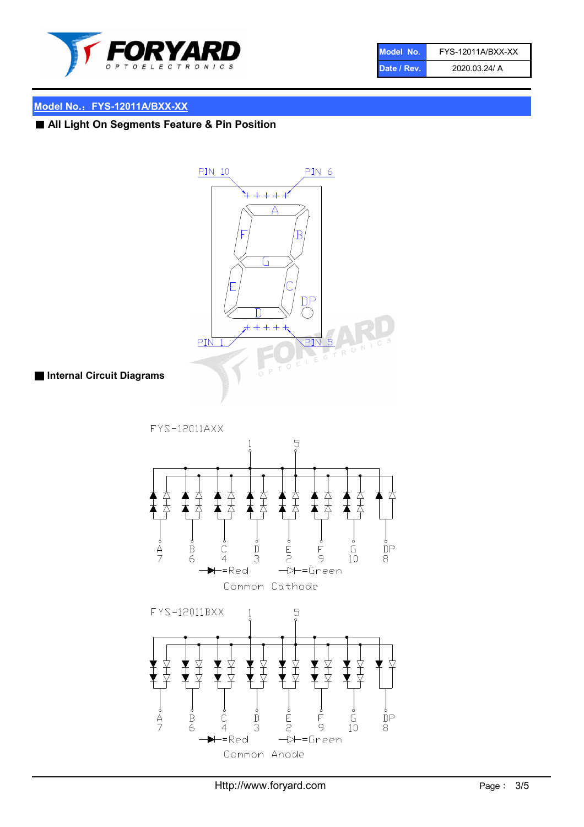

| Model No.   | FYS-12011A/BXX-XX |
|-------------|-------------------|
| Date / Rev. | 2020.03.24/ A     |

## Model No.: FYS-12011A/BXX-XX

■ All Light On Segments Feature & Pin Position



■ Internal Circuit Diagrams

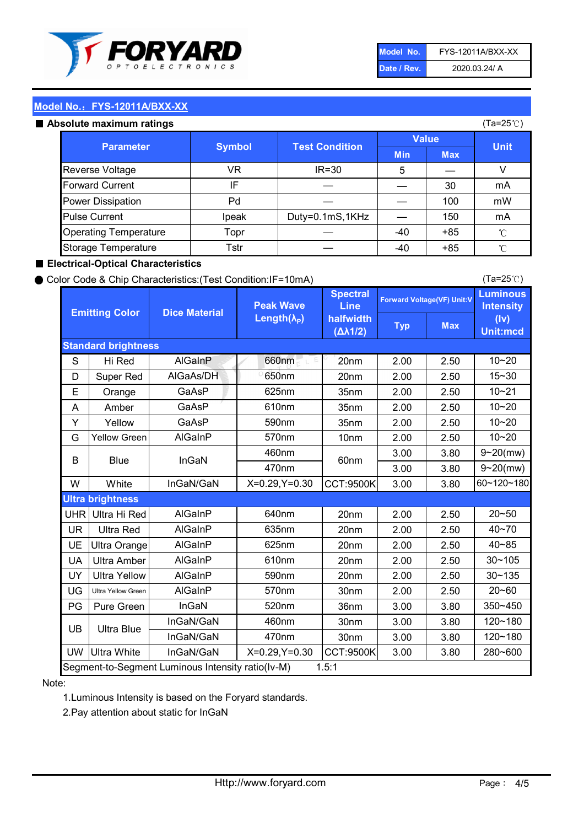

| Model No.   | FYS-12011A/BXX-XX |
|-------------|-------------------|
| Date / Rev. | 2020.03.24/ A     |

(Ta=25℃)

### Model No.: FYS-12011A/BXX-XX

#### Absolute maximum ratings

| solute maximum ratings       |               |                       | (Ta=25℃)     |            |             |
|------------------------------|---------------|-----------------------|--------------|------------|-------------|
| <b>Parameter</b>             | <b>Symbol</b> | <b>Test Condition</b> | <b>Value</b> |            |             |
|                              |               |                       | <b>Min</b>   | <b>Max</b> | <b>Unit</b> |
| Reverse Voltage              | VR            | $IR = 30$             | 5            |            |             |
| <b>Forward Current</b>       | ΙF            |                       |              | 30         | mA          |
| Power Dissipation            | Pd            |                       |              | 100        | mW          |
| <b>Pulse Current</b>         | Ipeak         | Duty=0.1mS,1KHz       |              | 150        | mA          |
| <b>Operating Temperature</b> | Topr          |                       | $-40$        | $+85$      | °C          |
| Storage Temperature          | Tstr          |                       | $-40$        | $+85$      | °C          |

#### ■ Electrical-Optical Characteristics

#### ● Color Code & Chip Characteristics:(Test Condition:IF=10mA)

Typ Max S | Hi $\textsf{Red}$  | AlGaInP | 660nm LE 20nm | 2.00 | 2.50 D | Super Red | AIGaAs/DH | 650nm | 20nm | 2.00 | 2.50 E | Orange | GaAsP | 625nm | 35nm | 2.00 | 2.50 A | Amber | GaAsP | 610nm | 35nm | 2.00 | 2.50 Y | Yellow | GaAsP | 590nm | 35nm | 2.00 | 2.50 G Yellow Green AIGaInP | 570nm | 10nm | 2.00 | 2.50 3.00 3.80 3.00 3.80 W | White | InGaN/GaN | X=0.29,Y=0.30 |CCT:9500K| 3.00 | 3.80 UHR Ultra Hi Red | AlGaInP | 640nm | 20nm | 2.00 | 2.50 UR | Ultra Red | AlGaInP | 635nm | 20nm | 2.00 | 2.50 UE Ultra Orange | AIGaInP | 625nm | 20nm | 2.00 | 2.50 UA Ultra Amber | AIGaInP | 610nm | 20nm | 2.00 | 2.50  $UV$  Ultra Yellow  $\vert$  AlGaInP  $\vert$  590nm  $\vert$  20nm  $\vert$  2.00  $\vert$  2.50  $\text{UG}$  Ultra Yellow Green | AIGaInP | 570nm | 30nm | 2.00 | 2.50 PG Pure Green | InGaN | 520nm | 36nm | 3.00 | 3.80 30nm 3.00 3.80 30nm 3.00 3.80 UW |Ultra White | InGaN/GaN | X=0.29,Y=0.30 |CCT:9500K| 3.00 | 3.80 10~20 Standard brightness Forward Voltage(VF) Unit:V 15~30 10~20 10~20 625nm GaAsP 590nm **Emitting Color Dice Material** 10~21 610nm Luminous **Intensity** (Iv) Unit:mcd AlGainP 660nm GaAsP GaAsP AlGaAs/DH **Spectral** Line halfwidth (∆λ1/2) Peak Wave Length $(\lambda_{\rm P})$ UB 460nm 635nm AlGaInP AlGaInP AlGaInP InGaN/GaN AlGaInP | 570nm | 10nm | 2.00 | 2.50 | 10~20 30~105 30~135 460nm 520nm Ultra brightness **AlGaInP** AlGaInP 60nm AlGaInP 640nm Segment-to-Segment Luminous Intensity ratio(Iv-M) 1.5:1 610nm 9~20(mw) 350~450 470nm 120~180 120~180 Ultra Blue InGaN/GaN InGaN/GaN 9~20(mw) 20~50 280~600 570nm | 30nm | 2.00 | 2.50 | 20~60 470nm 590nm InGaN/GaN B Blue I InGaN 40~85 60~120~180 40~70

#### Note:

1.Luminous Intensity is based on the Foryard standards.

2.Pay attention about static for InGaN